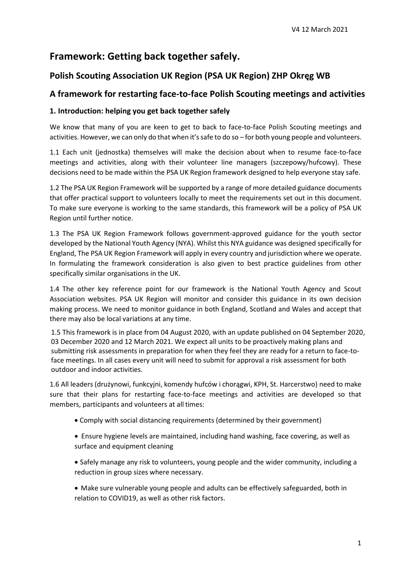# **Framework: Getting back together safely.**

## **Polish Scouting Association UK Region (PSA UK Region) ZHP Okręg WB**

### **A framework for restarting face-to-face Polish Scouting meetings and activities**

### **1. Introduction: helping you get back together safely**

We know that many of you are keen to get to back to face-to-face Polish Scouting meetings and activities. However, we can only do that when it's safe to do so – for both young people and volunteers.

1.1 Each unit (jednostka) themselves will make the decision about when to resume face-to-face meetings and activities, along with their volunteer line managers (szczepowy/hufcowy). These decisions need to be made within the PSA UK Region framework designed to help everyone stay safe.

1.2 The PSA UK Region Framework will be supported by a range of more detailed guidance documents that offer practical support to volunteers locally to meet the requirements set out in this document. To make sure everyone is working to the same standards, this framework will be a policy of PSA UK Region until further notice.

1.3 The PSA UK Region Framework follows government-approved guidance for the youth sector developed by the National Youth Agency (NYA). Whilst this NYA guidance was designed specifically for England, The PSA UK Region Framework will apply in every country and jurisdiction where we operate. In formulating the framework consideration is also given to best practice guidelines from other specifically similar organisations in the UK.

1.4 The other key reference point for our framework is the National Youth Agency and Scout Association websites. PSA UK Region will monitor and consider this guidance in its own decision making process. We need to monitor guidance in both England, Scotland and Wales and accept that there may also be local variations at any time.

1.5 This framework is in place from 04 August 2020, with an update published on 04 September 2020, 03 December 2020 and 12 March 2021. We expect all units to be proactively making plans and submitting risk assessments in preparation for when they feel they are ready for a return to face-toface meetings. In all cases every unit will need to submit for approval a risk assessment for both outdoor and indoor activities.

1.6 All leaders (drużynowi, funkcyjni, komendy hufców i chorągwi, KPH, St. Harcerstwo) need to make sure that their plans for restarting face-to-face meetings and activities are developed so that members, participants and volunteers at all times:

- Comply with social distancing requirements (determined by their government)
- Ensure hygiene levels are maintained, including hand washing, face covering, as well as surface and equipment cleaning
- Safely manage any risk to volunteers, young people and the wider community, including a reduction in group sizes where necessary.

 Make sure vulnerable young people and adults can be effectively safeguarded, both in relation to COVID19, as well as other risk factors.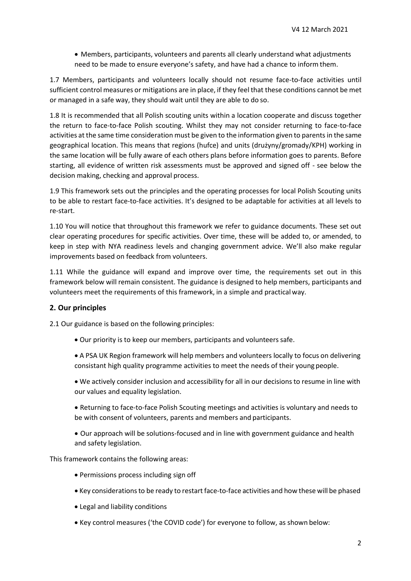Members, participants, volunteers and parents all clearly understand what adjustments need to be made to ensure everyone's safety, and have had a chance to inform them.

1.7 Members, participants and volunteers locally should not resume face-to-face activities until sufficient control measures or mitigations are in place, if they feel that these conditions cannot be met or managed in a safe way, they should wait until they are able to do so.

1.8 It is recommended that all Polish scouting units within a location cooperate and discuss together the return to face-to-face Polish scouting. Whilst they may not consider returning to face-to-face activities at the same time consideration must be given to the information given to parents in the same geographical location. This means that regions (hufce) and units (drużyny/gromady/KPH) working in the same location will be fully aware of each others plans before information goes to parents. Before starting, all evidence of written risk assessments must be approved and signed off - see below the decision making, checking and approval process.

1.9 This framework sets out the principles and the operating processes for local Polish Scouting units to be able to restart face-to-face activities. It's designed to be adaptable for activities at all levels to re-start.

1.10 You will notice that throughout this framework we refer to guidance documents. These set out clear operating procedures for specific activities. Over time, these will be added to, or amended, to keep in step with NYA readiness levels and changing government advice. We'll also make regular improvements based on feedback from volunteers.

1.11 While the guidance will expand and improve over time, the requirements set out in this framework below will remain consistent. The guidance is designed to help members, participants and volunteers meet the requirements of this framework, in a simple and practical way.

#### **2. Our principles**

2.1 Our guidance is based on the following principles:

- Our priority is to keep our members, participants and volunteers safe.
- A PSA UK Region framework will help members and volunteers locally to focus on delivering consistant high quality programme activities to meet the needs of their young people.
- We actively consider inclusion and accessibility for all in our decisionsto resume in line with our values and equality legislation.
- Returning to face-to-face Polish Scouting meetings and activities is voluntary and needs to be with consent of volunteers, parents and members and participants.
- Our approach will be solutions-focused and in line with government guidance and health and safety legislation.

This framework contains the following areas:

- Permissions process including sign off
- Key considerations to be ready to restart face-to-face activities and how these will be phased
- Legal and liability conditions
- Key control measures ('the COVID code') for everyone to follow, as shown below: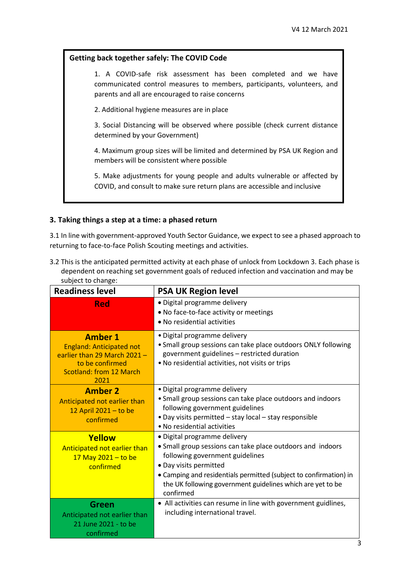#### **Getting back together safely: The COVID Code**

1. A COVID-safe risk assessment has been completed and we have communicated control measures to members, participants, volunteers, and parents and all are encouraged to raise concerns

2. Additional hygiene measures are in place

3. Social Distancing will be observed where possible (check current distance determined by your Government)

4. Maximum group sizes will be limited and determined by PSA UK Region and members will be consistent where possible

5. Make adjustments for young people and adults vulnerable or affected by COVID, and consult to make sure return plans are accessible and inclusive

#### **3. Taking things a step at a time: a phased return**

3.1 In line with government-approved Youth Sector Guidance, we expect to see a phased approach to returning to face-to-face Polish Scouting meetings and activities.

3.2 This is the anticipated permitted activity at each phase of unlock from Lockdown 3. Each phase is dependent on reaching set government goals of reduced infection and vaccination and may be subject to change:

| <b>Readiness level</b>                                                                                                                         | <b>PSA UK Region level</b>                                                                                                                                                                                                                                                                              |
|------------------------------------------------------------------------------------------------------------------------------------------------|---------------------------------------------------------------------------------------------------------------------------------------------------------------------------------------------------------------------------------------------------------------------------------------------------------|
| Red                                                                                                                                            | • Digital programme delivery<br>. No face-to-face activity or meetings<br>• No residential activities                                                                                                                                                                                                   |
| <b>Amber 1</b><br><b>England: Anticipated not</b><br>earlier than 29 March 2021 -<br>to be confirmed<br><b>Scotland: from 12 March</b><br>2021 | • Digital programme delivery<br>• Small group sessions can take place outdoors ONLY following<br>government guidelines - restricted duration<br>. No residential activities, not visits or trips                                                                                                        |
| <b>Amber 2</b><br>Anticipated not earlier than<br>12 April $2021 -$ to be<br>confirmed                                                         | · Digital programme delivery<br>• Small group sessions can take place outdoors and indoors<br>following government guidelines<br>• Day visits permitted – stay local – stay responsible<br>• No residential activities                                                                                  |
| Yellow<br>Anticipated not earlier than<br>$17$ May 2021 - to be<br>confirmed                                                                   | • Digital programme delivery<br>• Small group sessions can take place outdoors and indoors<br>following government guidelines<br>• Day visits permitted<br>• Camping and residentials permitted (subject to confirmation) in<br>the UK following government guidelines which are yet to be<br>confirmed |
| Green<br>Anticipated not earlier than<br>21 June 2021 - to be<br>confirmed                                                                     | • All activities can resume in line with government guidlines,<br>including international travel.                                                                                                                                                                                                       |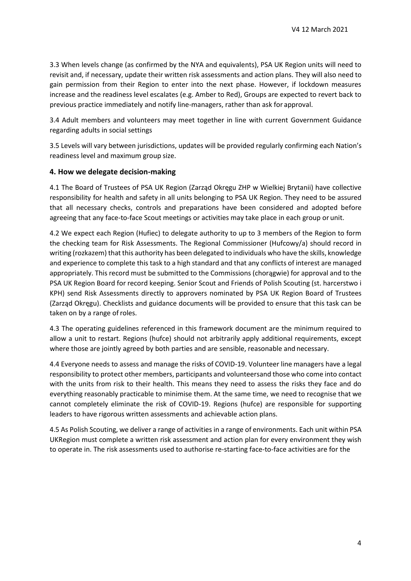3.3 When levels change (as confirmed by the NYA and equivalents), PSA UK Region units will need to revisit and, if necessary, update their written risk assessments and action plans. They will also need to gain permission from their Region to enter into the next phase. However, if lockdown measures increase and the readiness level escalates (e.g. Amber to Red), Groups are expected to revert back to previous practice immediately and notify line-managers, rather than ask for approval.

3.4 Adult members and volunteers may meet together in line with current Government Guidance regarding adults in social settings

3.5 Levels will vary between jurisdictions, updates will be provided regularly confirming each Nation's readiness level and maximum group size.

#### **4. How we delegate decision-making**

4.1 The Board of Trustees of PSA UK Region (Zarząd Okręgu ZHP w Wielkiej Brytanii) have collective responsibility for health and safety in all units belonging to PSA UK Region. They need to be assured that all necessary checks, controls and preparations have been considered and adopted before agreeing that any face-to-face Scout meetings or activities may take place in each group or unit.

4.2 We expect each Region (Hufiec) to delegate authority to up to 3 members of the Region to form the checking team for Risk Assessments. The Regional Commissioner (Hufcowy/a) should record in writing (rozkazem) that this authority has been delegated to individuals who have the skills, knowledge and experience to complete this task to a high standard and that any conflicts of interest are managed appropriately. This record must be submitted to the Commissions (chorągwie) for approval and to the PSA UK Region Board for record keeping. Senior Scout and Friends of Polish Scouting (st. harcerstwo i KPH) send Risk Assessments directly to approvers nominated by PSA UK Region Board of Trustees (Zarząd Okręgu). Checklists and guidance documents will be provided to ensure that this task can be taken on by a range ofroles.

4.3 The operating guidelines referenced in this framework document are the minimum required to allow a unit to restart. Regions (hufce) should not arbitrarily apply additional requirements, except where those are jointly agreed by both parties and are sensible, reasonable and necessary.

4.4 Everyone needs to assess and manage the risks of COVID-19. Volunteer line managers have a legal responsibility to protect other members, participants and volunteersand those who come into contact with the units from risk to their health. This means they need to assess the risks they face and do everything reasonably practicable to minimise them. At the same time, we need to recognise that we cannot completely eliminate the risk of COVID-19. Regions (hufce) are responsible for supporting leaders to have rigorous written assessments and achievable action plans.

4.5 As Polish Scouting, we deliver a range of activities in a range of environments. Each unit within PSA UKRegion must complete a written risk assessment and action plan for every environment they wish to operate in. The risk assessments used to authorise re-starting face-to-face activities are for the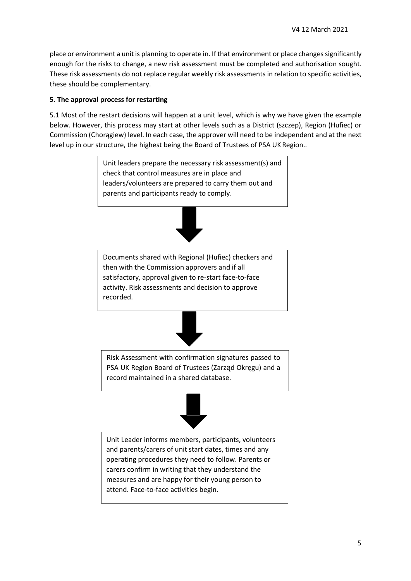place or environment a unit is planning to operate in. If that environment or place changes significantly enough for the risks to change, a new risk assessment must be completed and authorisation sought. These risk assessments do not replace regular weekly risk assessments in relation to specific activities, these should be complementary.

#### **5. The approval process for restarting**

5.1 Most of the restart decisions will happen at a unit level, which is why we have given the example below. However, this process may start at other levels such as a District (szczep), Region (Hufiec) or Commission (Chorągiew) level. In each case, the approver will need to be independent and at the next level up in our structure, the highest being the Board of Trustees of PSA UK Region..

> Unit leaders prepare the necessary risk assessment(s) and check that control measures are in place and leaders/volunteers are prepared to carry them out and parents and participants ready to comply.



Documents shared with Regional (Hufiec) checkers and then with the Commission approvers and if all satisfactory, approval given to re-start face-to-face activity. Risk assessments and decision to approve recorded.



Risk Assessment with confirmation signatures passed to PSA UK Region Board of Trustees (Zarząd Okręgu) and a record maintained in a shared database.



Unit Leader informs members, participants, volunteers and parents/carers of unit start dates, times and any operating procedures they need to follow. Parents or carers confirm in writing that they understand the measures and are happy for their young person to attend. Face-to-face activities begin.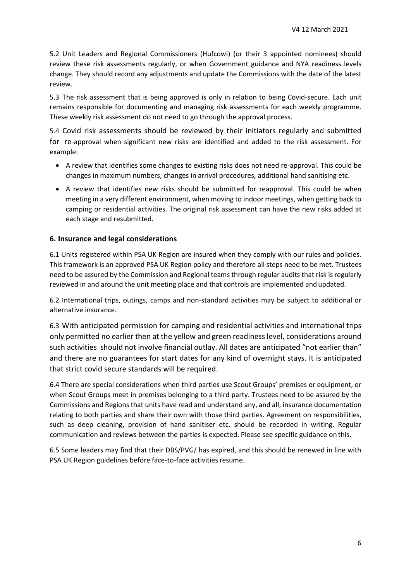5.2 Unit Leaders and Regional Commissioners (Hufcowi) (or their 3 appointed nominees) should review these risk assessments regularly, or when Government guidance and NYA readiness levels change. They should record any adjustments and update the Commissions with the date of the latest review.

5.3 The risk assessment that is being approved is only in relation to being Covid-secure. Each unit remains responsible for documenting and managing risk assessments for each weekly programme. These weekly risk assessment do not need to go through the approval process.

5.4 Covid risk assessments should be reviewed by their initiators regularly and submitted for re-approval when significant new risks are identified and added to the risk assessment. For example:

- A review that identifies some changes to existing risks does not need re-approval. This could be changes in maximum numbers, changes in arrival procedures, additional hand sanitising etc.
- A review that identifies new risks should be submitted for reapproval. This could be when meeting in a very different environment, when moving to indoor meetings, when getting back to camping or residential activities. The original risk assessment can have the new risks added at each stage and resubmitted.

#### **6. Insurance and legal considerations**

6.1 Units registered within PSA UK Region are insured when they comply with our rules and policies. This framework is an approved PSA UK Region policy and therefore all steps need to be met. Trustees need to be assured by the Commission and Regional teams through regular audits that risk is regularly reviewed in and around the unit meeting place and that controls are implemented and updated.

6.2 International trips, outings, camps and non-standard activities may be subject to additional or alternative insurance.

6.3 With anticipated permission for camping and residential activities and international trips only permitted no earlier then at the yellow and green readiness level, considerations around such activities should not involve financial outlay. All dates are anticipated "not earlier than" and there are no guarantees for start dates for any kind of overnight stays. It is anticipated that strict covid secure standards will be required.

6.4 There are special considerations when third parties use Scout Groups' premises or equipment, or when Scout Groups meet in premises belonging to a third party. Trustees need to be assured by the Commissions and Regions that units have read and understand any, and all, insurance documentation relating to both parties and share their own with those third parties. Agreement on responsibilities, such as deep cleaning, provision of hand sanitiser etc. should be recorded in writing. Regular communication and reviews between the parties is expected. Please see specific guidance on this.

6.5 Some leaders may find that their DBS/PVG/ has expired, and this should be renewed in line with PSA UK Region guidelines before face-to-face activities resume.